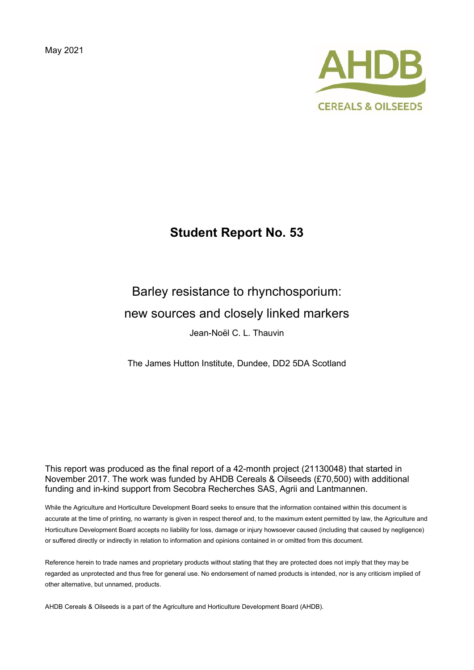May 2021



# **Student Report No. 53**

# Barley resistance to rhynchosporium: new sources and closely linked markers Jean-Noël C. L. Thauvin

The James Hutton Institute, Dundee, DD2 5DA Scotland

This report was produced as the final report of a 42-month project (21130048) that started in November 2017. The work was funded by AHDB Cereals & Oilseeds (£70,500) with additional funding and in-kind support from Secobra Recherches SAS, Agrii and Lantmannen.

While the Agriculture and Horticulture Development Board seeks to ensure that the information contained within this document is accurate at the time of printing, no warranty is given in respect thereof and, to the maximum extent permitted by law, the Agriculture and Horticulture Development Board accepts no liability for loss, damage or injury howsoever caused (including that caused by negligence) or suffered directly or indirectly in relation to information and opinions contained in or omitted from this document.

Reference herein to trade names and proprietary products without stating that they are protected does not imply that they may be regarded as unprotected and thus free for general use. No endorsement of named products is intended, nor is any criticism implied of other alternative, but unnamed, products.

AHDB Cereals & Oilseeds is a part of the Agriculture and Horticulture Development Board (AHDB).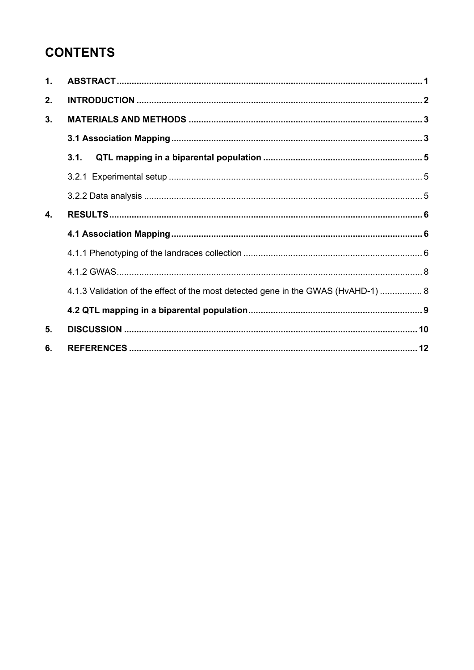# **CONTENTS**

| 1. |                                                                                   |  |
|----|-----------------------------------------------------------------------------------|--|
| 2. |                                                                                   |  |
| 3. |                                                                                   |  |
|    |                                                                                   |  |
|    | 3.1.                                                                              |  |
|    |                                                                                   |  |
|    |                                                                                   |  |
| 4. |                                                                                   |  |
|    |                                                                                   |  |
|    |                                                                                   |  |
|    |                                                                                   |  |
|    | 4.1.3 Validation of the effect of the most detected gene in the GWAS (HvAHD-1)  8 |  |
|    |                                                                                   |  |
| 5. |                                                                                   |  |
| 6. |                                                                                   |  |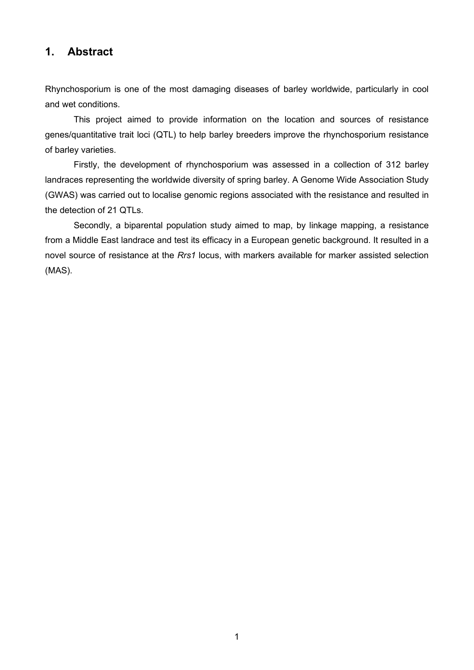## <span id="page-3-0"></span>**1. Abstract**

Rhynchosporium is one of the most damaging diseases of barley worldwide, particularly in cool and wet conditions.

This project aimed to provide information on the location and sources of resistance genes/quantitative trait loci (QTL) to help barley breeders improve the rhynchosporium resistance of barley varieties.

Firstly, the development of rhynchosporium was assessed in a collection of 312 barley landraces representing the worldwide diversity of spring barley. A Genome Wide Association Study (GWAS) was carried out to localise genomic regions associated with the resistance and resulted in the detection of 21 QTLs.

Secondly, a biparental population study aimed to map, by linkage mapping, a resistance from a Middle East landrace and test its efficacy in a European genetic background. It resulted in a novel source of resistance at the *Rrs1* locus, with markers available for marker assisted selection (MAS).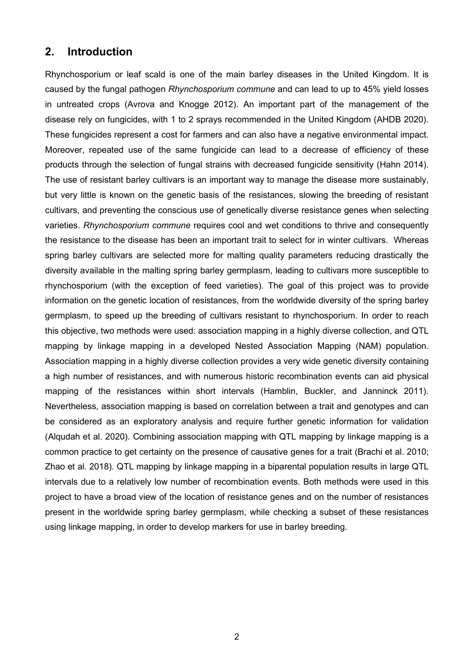## <span id="page-4-0"></span>**2. Introduction**

Rhynchosporium or leaf scald is one of the main barley diseases in the United Kingdom. It is caused by the fungal pathogen *Rhynchosporium commune* and can lead to up to 45% yield losses in untreated crops (Avrova and Knogge 2012). An important part of the management of the disease rely on fungicides, with 1 to 2 sprays recommended in the United Kingdom (AHDB 2020). These fungicides represent a cost for farmers and can also have a negative environmental impact. Moreover, repeated use of the same fungicide can lead to a decrease of efficiency of these products through the selection of fungal strains with decreased fungicide sensitivity (Hahn 2014). The use of resistant barley cultivars is an important way to manage the disease more sustainably, but very little is known on the genetic basis of the resistances, slowing the breeding of resistant cultivars, and preventing the conscious use of genetically diverse resistance genes when selecting varieties. *Rhynchosporium commune* requires cool and wet conditions to thrive and consequently the resistance to the disease has been an important trait to select for in winter cultivars. Whereas spring barley cultivars are selected more for malting quality parameters reducing drastically the diversity available in the malting spring barley germplasm, leading to cultivars more susceptible to rhynchosporium (with the exception of feed varieties). The goal of this project was to provide information on the genetic location of resistances, from the worldwide diversity of the spring barley germplasm, to speed up the breeding of cultivars resistant to rhynchosporium. In order to reach this objective, two methods were used: association mapping in a highly diverse collection, and QTL mapping by linkage mapping in a developed Nested Association Mapping (NAM) population. Association mapping in a highly diverse collection provides a very wide genetic diversity containing a high number of resistances, and with numerous historic recombination events can aid physical mapping of the resistances within short intervals (Hamblin, Buckler, and Janninck 2011). Nevertheless, association mapping is based on correlation between a trait and genotypes and can be considered as an exploratory analysis and require further genetic information for validation (Alqudah et al. 2020). Combining association mapping with QTL mapping by linkage mapping is a common practice to get certainty on the presence of causative genes for a trait (Brachi et al. 2010; Zhao et al. 2018). QTL mapping by linkage mapping in a biparental population results in large QTL intervals due to a relatively low number of recombination events. Both methods were used in this project to have a broad view of the location of resistance genes and on the number of resistances present in the worldwide spring barley germplasm, while checking a subset of these resistances using linkage mapping, in order to develop markers for use in barley breeding.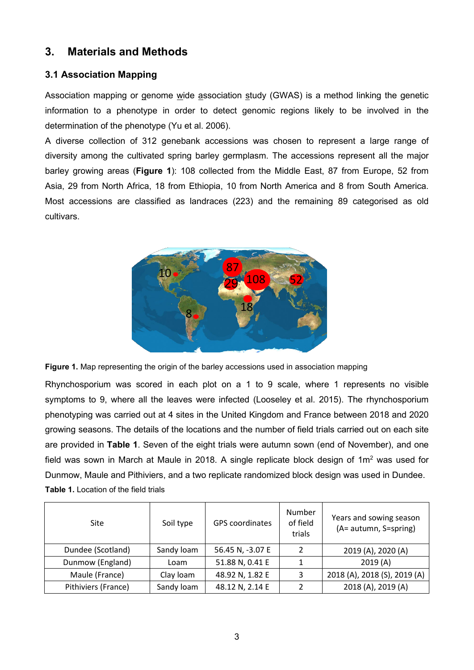## <span id="page-5-0"></span>**3. Materials and Methods**

## <span id="page-5-1"></span>**3.1 Association Mapping**

Association mapping or genome wide association study (GWAS) is a method linking the genetic information to a phenotype in order to detect genomic regions likely to be involved in the determination of the phenotype (Yu et al. 2006).

A diverse collection of 312 genebank accessions was chosen to represent a large range of diversity among the cultivated spring barley germplasm. The accessions represent all the major barley growing areas (**Figure 1**): 108 collected from the Middle East, 87 from Europe, 52 from Asia, 29 from North Africa, 18 from Ethiopia, 10 from North America and 8 from South America. Most accessions are classified as landraces (223) and the remaining 89 categorised as old cultivars.



**Figure 1.** Map representing the origin of the barley accessions used in association mapping

Rhynchosporium was scored in each plot on a 1 to 9 scale, where 1 represents no visible symptoms to 9, where all the leaves were infected (Looseley et al. 2015). The rhynchosporium phenotyping was carried out at 4 sites in the United Kingdom and France between 2018 and 2020 growing seasons. The details of the locations and the number of field trials carried out on each site are provided in **Table 1**. Seven of the eight trials were autumn sown (end of November), and one field was sown in March at Maule in 2018. A single replicate block design of  $1m<sup>2</sup>$  was used for Dunmow, Maule and Pithiviers, and a two replicate randomized block design was used in Dundee. **Table 1.** Location of the field trials

| Site                | Soil type  | <b>GPS</b> coordinates | Number<br>of field<br>trials | Years and sowing season<br>(A= autumn, S=spring) |
|---------------------|------------|------------------------|------------------------------|--------------------------------------------------|
| Dundee (Scotland)   | Sandy loam | 56.45 N, -3.07 E       | $\mathcal{P}$                | 2019 (A), 2020 (A)                               |
| Dunmow (England)    | Loam       | 51.88 N, 0.41 E        | 1                            | 2019(A)                                          |
| Maule (France)      | Clay loam  | 48.92 N, 1.82 E        | 3                            | 2018 (A), 2018 (S), 2019 (A)                     |
| Pithiviers (France) | Sandy loam | 48.12 N, 2.14 E        |                              | 2018 (A), 2019 (A)                               |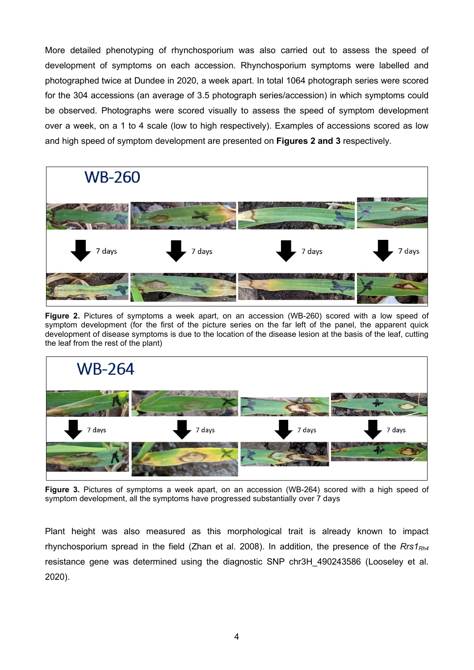More detailed phenotyping of rhynchosporium was also carried out to assess the speed of development of symptoms on each accession. Rhynchosporium symptoms were labelled and photographed twice at Dundee in 2020, a week apart. In total 1064 photograph series were scored for the 304 accessions (an average of 3.5 photograph series/accession) in which symptoms could be observed. Photographs were scored visually to assess the speed of symptom development over a week, on a 1 to 4 scale (low to high respectively). Examples of accessions scored as low and high speed of symptom development are presented on **Figures 2 and 3** respectively.



**Figure 2.** Pictures of symptoms a week apart, on an accession (WB-260) scored with a low speed of symptom development (for the first of the picture series on the far left of the panel, the apparent quick development of disease symptoms is due to the location of the disease lesion at the basis of the leaf, cutting the leaf from the rest of the plant)



**Figure 3.** Pictures of symptoms a week apart, on an accession (WB-264) scored with a high speed of symptom development, all the symptoms have progressed substantially over 7 days

Plant height was also measured as this morphological trait is already known to impact rhynchosporium spread in the field (Zhan et al. 2008). In addition, the presence of the *Rrs1Rh4* resistance gene was determined using the diagnostic SNP chr3H\_490243586 (Looseley et al. 2020).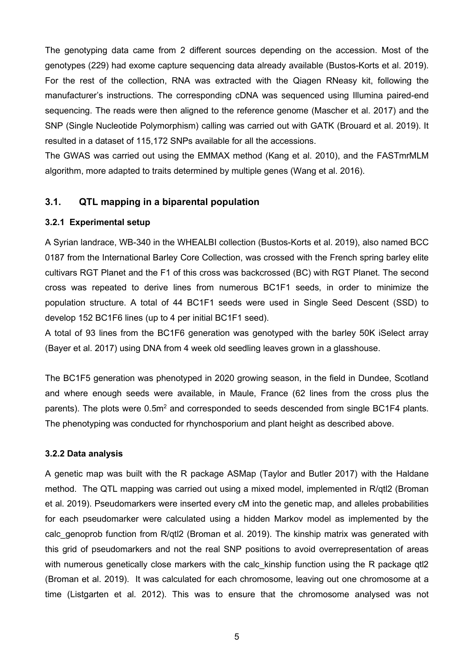The genotyping data came from 2 different sources depending on the accession. Most of the genotypes (229) had exome capture sequencing data already available (Bustos-Korts et al. 2019). For the rest of the collection, RNA was extracted with the Qiagen RNeasy kit, following the manufacturer's instructions. The corresponding cDNA was sequenced using Illumina paired-end sequencing. The reads were then aligned to the reference genome (Mascher et al. 2017) and the SNP (Single Nucleotide Polymorphism) calling was carried out with GATK (Brouard et al. 2019). It resulted in a dataset of 115,172 SNPs available for all the accessions.

The GWAS was carried out using the EMMAX method (Kang et al. 2010), and the FASTmrMLM algorithm, more adapted to traits determined by multiple genes (Wang et al. 2016).

## <span id="page-7-0"></span>**3.1. QTL mapping in a biparental population**

#### <span id="page-7-1"></span>**3.2.1 Experimental setup**

A Syrian landrace, WB-340 in the WHEALBI collection (Bustos-Korts et al. 2019), also named BCC 0187 from the International Barley Core Collection, was crossed with the French spring barley elite cultivars RGT Planet and the F1 of this cross was backcrossed (BC) with RGT Planet. The second cross was repeated to derive lines from numerous BC1F1 seeds, in order to minimize the population structure. A total of 44 BC1F1 seeds were used in Single Seed Descent (SSD) to develop 152 BC1F6 lines (up to 4 per initial BC1F1 seed).

A total of 93 lines from the BC1F6 generation was genotyped with the barley 50K iSelect array (Bayer et al. 2017) using DNA from 4 week old seedling leaves grown in a glasshouse.

The BC1F5 generation was phenotyped in 2020 growing season, in the field in Dundee, Scotland and where enough seeds were available, in Maule, France (62 lines from the cross plus the parents). The plots were 0.5m<sup>2</sup> and corresponded to seeds descended from single BC1F4 plants. The phenotyping was conducted for rhynchosporium and plant height as described above.

#### <span id="page-7-2"></span>**3.2.2 Data analysis**

A genetic map was built with the R package ASMap (Taylor and Butler 2017) with the Haldane method. The QTL mapping was carried out using a mixed model, implemented in R/qtl2 (Broman et al. 2019). Pseudomarkers were inserted every cM into the genetic map, and alleles probabilities for each pseudomarker were calculated using a hidden Markov model as implemented by the calc genoprob function from R/qtl2 (Broman et al. 2019). The kinship matrix was generated with this grid of pseudomarkers and not the real SNP positions to avoid overrepresentation of areas with numerous genetically close markers with the calc kinship function using the R package gtl2 (Broman et al. 2019). It was calculated for each chromosome, leaving out one chromosome at a time (Listgarten et al. 2012). This was to ensure that the chromosome analysed was not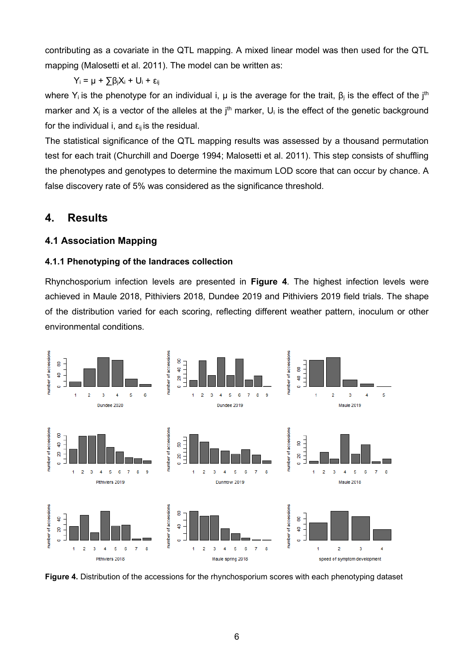contributing as a covariate in the QTL mapping. A mixed linear model was then used for the QTL mapping (Malosetti et al. 2011). The model can be written as:

 $Y_i = \mu + \sum \beta_i X_i + U_i + \varepsilon_{ij}$ 

where Y<sub>i</sub> is the phenotype for an individual i,  $\mu$  is the average for the trait,  $\beta_i$  is the effect of the j<sup>th</sup> marker and  $X_i$  is a vector of the alleles at the  $i<sup>th</sup>$  marker,  $U_i$  is the effect of the genetic background for the individual i, and  $\varepsilon_{ij}$  is the residual.

The statistical significance of the QTL mapping results was assessed by a thousand permutation test for each trait (Churchill and Doerge 1994; Malosetti et al. 2011). This step consists of shuffling the phenotypes and genotypes to determine the maximum LOD score that can occur by chance. A false discovery rate of 5% was considered as the significance threshold.

## <span id="page-8-0"></span>**4. Results**

### <span id="page-8-1"></span>**4.1 Association Mapping**

#### <span id="page-8-2"></span>**4.1.1 Phenotyping of the landraces collection**

Rhynchosporium infection levels are presented in **Figure 4**. The highest infection levels were achieved in Maule 2018, Pithiviers 2018, Dundee 2019 and Pithiviers 2019 field trials. The shape of the distribution varied for each scoring, reflecting different weather pattern, inoculum or other environmental conditions.



**Figure 4.** Distribution of the accessions for the rhynchosporium scores with each phenotyping dataset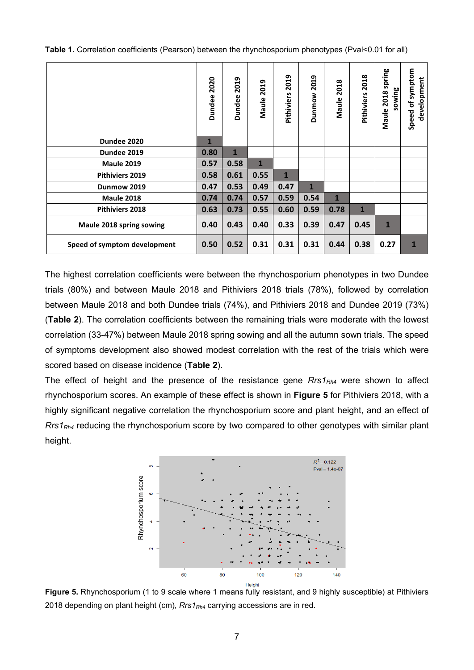| Table 1. Correlation coefficients (Pearson) between the rhynchosporium phenotypes (Pval<0.01 for all) |  |
|-------------------------------------------------------------------------------------------------------|--|
|-------------------------------------------------------------------------------------------------------|--|

|                              | 2020<br><b>Dundee</b> | 2019<br><b>Dundee</b> | $\mathbf{a}$<br>$\overline{\mathbf{S}}$<br>Maule | 2019<br>Pithiviers | 2019<br><b>Dunmow</b> | 2018<br>Maule | 2018<br>Pithiviers | Maule 2018 spring<br>sowing | Speed of symptom<br>development |
|------------------------------|-----------------------|-----------------------|--------------------------------------------------|--------------------|-----------------------|---------------|--------------------|-----------------------------|---------------------------------|
| Dundee 2020                  | $\mathbf{1}$          |                       |                                                  |                    |                       |               |                    |                             |                                 |
| Dundee 2019                  | 0.80                  | $\mathbf{1}$          |                                                  |                    |                       |               |                    |                             |                                 |
| <b>Maule 2019</b>            | 0.57                  | 0.58                  | $\mathbf{1}$                                     |                    |                       |               |                    |                             |                                 |
| <b>Pithiviers 2019</b>       | 0.58                  | 0.61                  | 0.55                                             | $\mathbf{1}$       |                       |               |                    |                             |                                 |
| Dunmow 2019                  | 0.47                  | 0.53                  | 0.49                                             | 0.47               | $\mathbf{1}$          |               |                    |                             |                                 |
| <b>Maule 2018</b>            | 0.74                  | 0.74                  | 0.57                                             | 0.59               | 0.54                  | $\mathbf{1}$  |                    |                             |                                 |
| Pithiviers 2018              | 0.63                  | 0.73                  | 0.55                                             | 0.60               | 0.59                  | 0.78          | $\mathbf{1}$       |                             |                                 |
| Maule 2018 spring sowing     | 0.40                  | 0.43                  | 0.40                                             | 0.33               | 0.39                  | 0.47          | 0.45               | $\mathbf{1}$                |                                 |
| Speed of symptom development | 0.50                  | 0.52                  | 0.31                                             | 0.31               | 0.31                  | 0.44          | 0.38               | 0.27                        | 1                               |

The highest correlation coefficients were between the rhynchosporium phenotypes in two Dundee trials (80%) and between Maule 2018 and Pithiviers 2018 trials (78%), followed by correlation between Maule 2018 and both Dundee trials (74%), and Pithiviers 2018 and Dundee 2019 (73%) (**Table 2**). The correlation coefficients between the remaining trials were moderate with the lowest correlation (33-47%) between Maule 2018 spring sowing and all the autumn sown trials. The speed of symptoms development also showed modest correlation with the rest of the trials which were scored based on disease incidence (**Table 2**).

The effect of height and the presence of the resistance gene *Rrs1<sub>Rh4</sub>* were shown to affect rhynchosporium scores. An example of these effect is shown in **Figure 5** for Pithiviers 2018, with a highly significant negative correlation the rhynchosporium score and plant height, and an effect of *Rrs1Rh4* reducing the rhynchosporium score by two compared to other genotypes with similar plant height.



**Figure 5.** Rhynchosporium (1 to 9 scale where 1 means fully resistant, and 9 highly susceptible) at Pithiviers 2018 depending on plant height (cm), *Rrs1<sub>Rh4</sub>* carrying accessions are in red.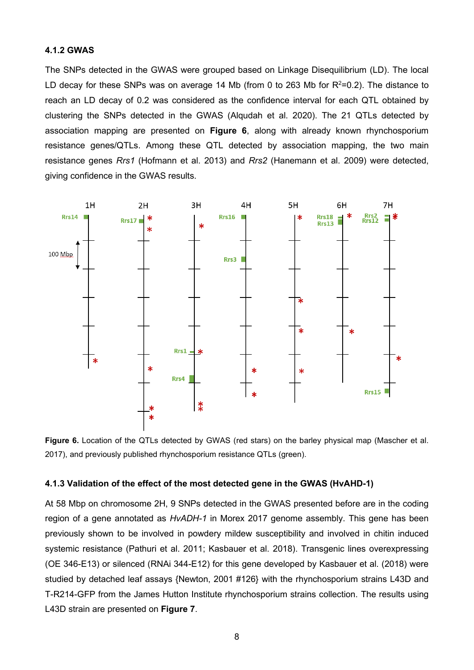#### <span id="page-10-0"></span>**4.1.2 GWAS**

The SNPs detected in the GWAS were grouped based on Linkage Disequilibrium (LD). The local LD decay for these SNPs was on average 14 Mb (from 0 to 263 Mb for  $R^2=0.2$ ). The distance to reach an LD decay of 0.2 was considered as the confidence interval for each QTL obtained by clustering the SNPs detected in the GWAS (Alqudah et al. 2020). The 21 QTLs detected by association mapping are presented on **Figure 6**, along with already known rhynchosporium resistance genes/QTLs. Among these QTL detected by association mapping, the two main resistance genes *Rrs1* (Hofmann et al. 2013) and *Rrs2* (Hanemann et al. 2009) were detected, giving confidence in the GWAS results.



**Figure 6.** Location of the QTLs detected by GWAS (red stars) on the barley physical map (Mascher et al. 2017), and previously published rhynchosporium resistance QTLs (green).

#### <span id="page-10-1"></span>**4.1.3 Validation of the effect of the most detected gene in the GWAS (HvAHD-1)**

At 58 Mbp on chromosome 2H, 9 SNPs detected in the GWAS presented before are in the coding region of a gene annotated as *HvADH-1* in Morex 2017 genome assembly. This gene has been previously shown to be involved in powdery mildew susceptibility and involved in chitin induced systemic resistance (Pathuri et al. 2011; Kasbauer et al. 2018). Transgenic lines overexpressing (OE 346-E13) or silenced (RNAi 344-E12) for this gene developed by Kasbauer et al. (2018) were studied by detached leaf assays {Newton, 2001 #126} with the rhynchosporium strains L43D and T-R214-GFP from the James Hutton Institute rhynchosporium strains collection. The results using L43D strain are presented on **Figure 7**.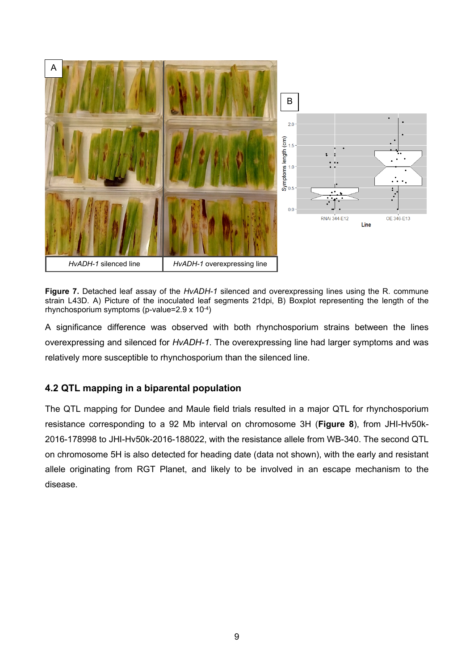

**Figure 7.** Detached leaf assay of the *HvADH-1* silenced and overexpressing lines using the R. commune strain L43D. A) Picture of the inoculated leaf segments 21dpi, B) Boxplot representing the length of the rhynchosporium symptoms (p-value=2.9 x 10-4)

A significance difference was observed with both rhynchosporium strains between the lines overexpressing and silenced for *HvADH-1*. The overexpressing line had larger symptoms and was relatively more susceptible to rhynchosporium than the silenced line.

## <span id="page-11-0"></span>**4.2 QTL mapping in a biparental population**

The QTL mapping for Dundee and Maule field trials resulted in a major QTL for rhynchosporium resistance corresponding to a 92 Mb interval on chromosome 3H (**Figure 8**), from JHI-Hv50k-2016-178998 to JHI-Hv50k-2016-188022, with the resistance allele from WB-340. The second QTL on chromosome 5H is also detected for heading date (data not shown), with the early and resistant allele originating from RGT Planet, and likely to be involved in an escape mechanism to the disease.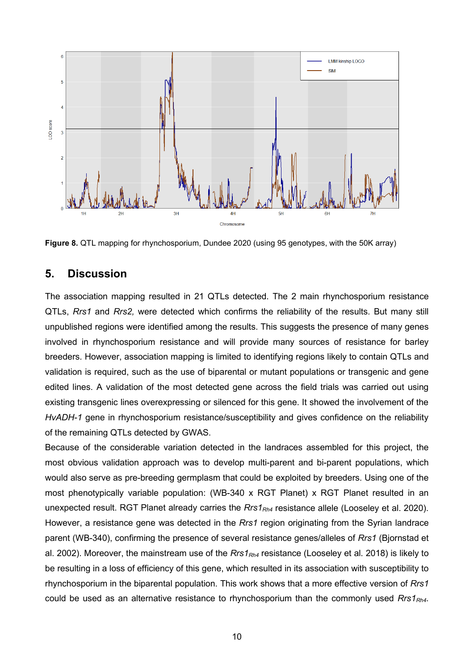

**Figure 8.** QTL mapping for rhynchosporium, Dundee 2020 (using 95 genotypes, with the 50K array)

### <span id="page-12-0"></span>**5. Discussion**

The association mapping resulted in 21 QTLs detected. The 2 main rhynchosporium resistance QTLs, *Rrs1* and *Rrs2,* were detected which confirms the reliability of the results. But many still unpublished regions were identified among the results. This suggests the presence of many genes involved in rhynchosporium resistance and will provide many sources of resistance for barley breeders. However, association mapping is limited to identifying regions likely to contain QTLs and validation is required, such as the use of biparental or mutant populations or transgenic and gene edited lines. A validation of the most detected gene across the field trials was carried out using existing transgenic lines overexpressing or silenced for this gene. It showed the involvement of the *HvADH-1* gene in rhynchosporium resistance/susceptibility and gives confidence on the reliability of the remaining QTLs detected by GWAS.

Because of the considerable variation detected in the landraces assembled for this project, the most obvious validation approach was to develop multi-parent and bi-parent populations, which would also serve as pre-breeding germplasm that could be exploited by breeders. Using one of the most phenotypically variable population: (WB-340 x RGT Planet) x RGT Planet resulted in an unexpected result. RGT Planet already carries the *Rrs1<sub>Rh4</sub>* resistance allele (Looseley et al. 2020). However, a resistance gene was detected in the *Rrs1* region originating from the Syrian landrace parent (WB-340), confirming the presence of several resistance genes/alleles of *Rrs1* (Bjornstad et al. 2002). Moreover, the mainstream use of the *Rrs1<sub>Rh4</sub>* resistance (Looseley et al. 2018) is likely to be resulting in a loss of efficiency of this gene, which resulted in its association with susceptibility to rhynchosporium in the biparental population. This work shows that a more effective version of *Rrs1* could be used as an alternative resistance to rhynchosporium than the commonly used *Rrs1Rh4*.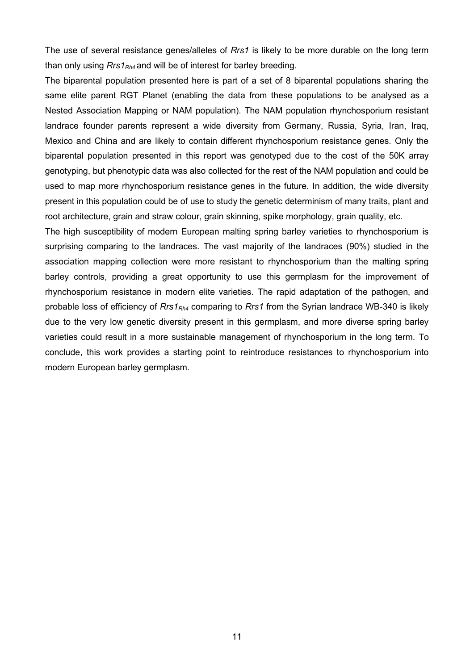The use of several resistance genes/alleles of *Rrs1* is likely to be more durable on the long term than only using  $Rrs1_{Rh4}$  and will be of interest for barley breeding.

The biparental population presented here is part of a set of 8 biparental populations sharing the same elite parent RGT Planet (enabling the data from these populations to be analysed as a Nested Association Mapping or NAM population). The NAM population rhynchosporium resistant landrace founder parents represent a wide diversity from Germany, Russia, Syria, Iran, Iraq, Mexico and China and are likely to contain different rhynchosporium resistance genes. Only the biparental population presented in this report was genotyped due to the cost of the 50K array genotyping, but phenotypic data was also collected for the rest of the NAM population and could be used to map more rhynchosporium resistance genes in the future. In addition, the wide diversity present in this population could be of use to study the genetic determinism of many traits, plant and root architecture, grain and straw colour, grain skinning, spike morphology, grain quality, etc.

The high susceptibility of modern European malting spring barley varieties to rhynchosporium is surprising comparing to the landraces. The vast majority of the landraces (90%) studied in the association mapping collection were more resistant to rhynchosporium than the malting spring barley controls, providing a great opportunity to use this germplasm for the improvement of rhynchosporium resistance in modern elite varieties. The rapid adaptation of the pathogen, and probable loss of efficiency of *Rrs1Rh4* comparing to *Rrs1* from the Syrian landrace WB-340 is likely due to the very low genetic diversity present in this germplasm, and more diverse spring barley varieties could result in a more sustainable management of rhynchosporium in the long term. To conclude, this work provides a starting point to reintroduce resistances to rhynchosporium into modern European barley germplasm.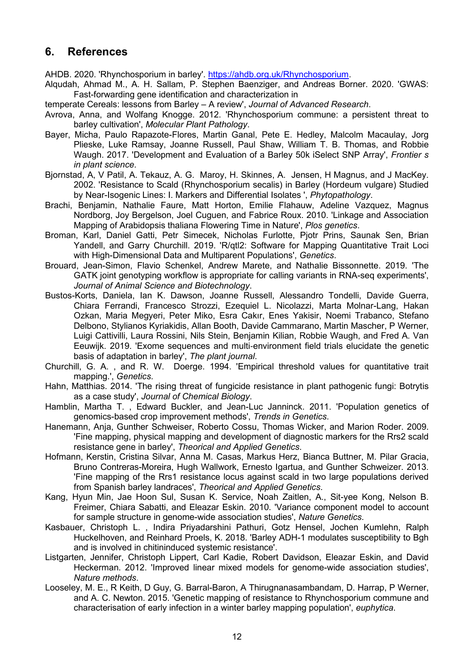## <span id="page-14-0"></span>**6. References**

AHDB. 2020. 'Rhynchosporium in barley'. [https://ahdb.org.uk/Rhynchosporium.](https://ahdb.org.uk/Rhynchosporium)

- Alqudah, Ahmad M., A. H. Sallam, P. Stephen Baenziger, and Andreas Borner. 2020. 'GWAS: Fast-forwarding gene identification and characterization in
- temperate Cereals: lessons from Barley A review', *Journal of Advanced Research*.
- Avrova, Anna, and Wolfang Knogge. 2012. 'Rhynchosporium commune: a persistent threat to barley cultivation', *Molecular Plant Pathology*.
- Bayer, Micha, Paulo Rapazote-Flores, Martin Ganal, Pete E. Hedley, Malcolm Macaulay, Jorg Plieske, Luke Ramsay, Joanne Russell, Paul Shaw, William T. B. Thomas, and Robbie Waugh. 2017. 'Development and Evaluation of a Barley 50k iSelect SNP Array', *Frontier s in plant science*.
- Bjornstad, A, V Patil, A. Tekauz, A. G. Maroy, H. Skinnes, A. Jensen, H Magnus, and J MacKey. 2002. 'Resistance to Scald (Rhynchosporium secalis) in Barley (Hordeum vulgare) Studied by Near-Isogenic Lines: I. Markers and Differential Isolates ', *Phytopathology*.
- Brachi, Benjamin, Nathalie Faure, Matt Horton, Emilie Flahauw, Adeline Vazquez, Magnus Nordborg, Joy Bergelson, Joel Cuguen, and Fabrice Roux. 2010. 'Linkage and Association Mapping of Arabidopsis thaliana Flowering Time in Nature', *Plos genetics*.
- Broman, Karl, Daniel Gatti, Petr Simecek, Nicholas Furlotte, Pjotr Prins, Saunak Sen, Brian Yandell, and Garry Churchill. 2019. 'R/qtl2: Software for Mapping Quantitative Trait Loci with High-Dimensional Data and Multiparent Populations', *Genetics*.
- Brouard, Jean-Simon, Flavio Schenkel, Andrew Marete, and Nathalie Bissonnette. 2019. 'The GATK joint genotyping workflow is appropriate for calling variants in RNA-seq experiments', *Journal of Animal Science and Biotechnology*.
- Bustos-Korts, Daniela, Ian K. Dawson, Joanne Russell, Alessandro Tondelli, Davide Guerra, Chiara Ferrandi, Francesco Strozzi, Ezequiel L. Nicolazzi, Marta Molnar-Lang, Hakan Ozkan, Maria Megyeri, Peter Miko, Esra Cakır, Enes Yakisir, Noemi Trabanco, Stefano Delbono, Stylianos Kyriakidis, Allan Booth, Davide Cammarano, Martin Mascher, P Werner, Luigi Cattivilli, Laura Rossini, Nils Stein, Benjamin Kilian, Robbie Waugh, and Fred A. Van Eeuwijk. 2019. 'Exome sequences and multi‐environment field trials elucidate the genetic basis of adaptation in barley', *The plant journal*.
- Churchill, G. A. , and R. W. Doerge. 1994. 'Empirical threshold values for quantitative trait mapping.', *Genetics*.
- Hahn, Matthias. 2014. 'The rising threat of fungicide resistance in plant pathogenic fungi: Botrytis as a case study', *Journal of Chemical Biology*.
- Hamblin, Martha T. , Edward Buckler, and Jean-Luc Janninck. 2011. 'Population genetics of genomics-based crop improvement methods', *Trends in Genetics*.
- Hanemann, Anja, Gunther Schweiser, Roberto Cossu, Thomas Wicker, and Marion Roder. 2009. 'Fine mapping, physical mapping and development of diagnostic markers for the Rrs2 scald resistance gene in barley', *Theorical and Applied Genetics*.
- Hofmann, Kerstin, Cristina Silvar, Anna M. Casas, Markus Herz, Bianca Buttner, M. Pilar Gracia, Bruno Contreras-Moreira, Hugh Wallwork, Ernesto Igartua, and Gunther Schweizer. 2013. 'Fine mapping of the Rrs1 resistance locus against scald in two large populations derived from Spanish barley landraces', *Theorical and Applied Genetics*.
- Kang, Hyun Min, Jae Hoon Sul, Susan K. Service, Noah Zaitlen, A., Sit-yee Kong, Nelson B. Freimer, Chiara Sabatti, and Eleazar Eskin. 2010. 'Variance component model to account for sample structure in genome-wide association studies', *Nature Genetics*.
- Kasbauer, Christoph L. , Indira Priyadarshini Pathuri, Gotz Hensel, Jochen Kumlehn, Ralph Huckelhoven, and Reinhard Proels, K. 2018. 'Barley ADH-1 modulates susceptibility to Bgh and is involved in chitininduced systemic resistance'.
- Listgarten, Jennifer, Christoph Lippert, Carl Kadie, Robert Davidson, Eleazar Eskin, and David Heckerman. 2012. 'Improved linear mixed models for genome-wide association studies', *Nature methods*.
- Looseley, M. E., R Keith, D Guy, G. Barral-Baron, A Thirugnanasambandam, D. Harrap, P Werner, and A. C. Newton. 2015. 'Genetic mapping of resistance to Rhynchosporium commune and characterisation of early infection in a winter barley mapping population', *euphytica*.